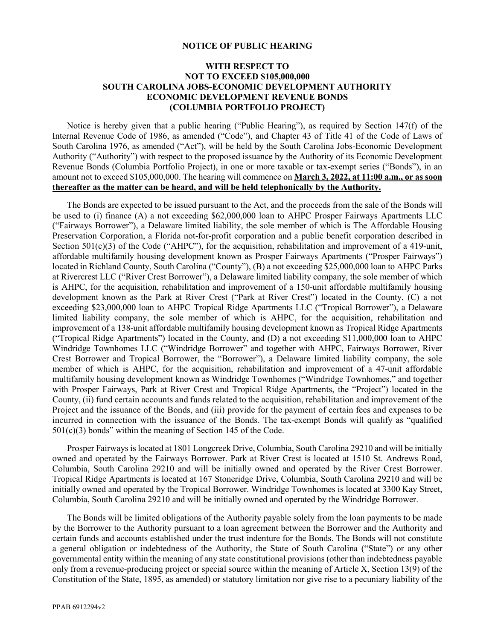## **NOTICE OF PUBLIC HEARING**

## **WITH RESPECT TO NOT TO EXCEED \$105,000,000 SOUTH CAROLINA JOBS-ECONOMIC DEVELOPMENT AUTHORITY ECONOMIC DEVELOPMENT REVENUE BONDS (COLUMBIA PORTFOLIO PROJECT)**

Notice is hereby given that a public hearing ("Public Hearing"), as required by Section 147(f) of the Internal Revenue Code of 1986, as amended ("Code"), and Chapter 43 of Title 41 of the Code of Laws of South Carolina 1976, as amended ("Act"), will be held by the South Carolina Jobs-Economic Development Authority ("Authority") with respect to the proposed issuance by the Authority of its Economic Development Revenue Bonds (Columbia Portfolio Project), in one or more taxable or tax-exempt series ("Bonds"), in an amount not to exceed \$105,000,000. The hearing will commence on **March 3, 2022, at 11:00 a.m., or as soon thereafter as the matter can be heard, and will be held telephonically by the Authority.**

The Bonds are expected to be issued pursuant to the Act, and the proceeds from the sale of the Bonds will be used to (i) finance (A) a not exceeding \$62,000,000 loan to AHPC Prosper Fairways Apartments LLC ("Fairways Borrower"), a Delaware limited liability, the sole member of which is The Affordable Housing Preservation Corporation, a Florida not-for-profit corporation and a public benefit corporation described in Section 501(c)(3) of the Code ("AHPC"), for the acquisition, rehabilitation and improvement of a 419-unit, affordable multifamily housing development known as Prosper Fairways Apartments ("Prosper Fairways") located in Richland County, South Carolina ("County"), (B) a not exceeding \$25,000,000 loan to AHPC Parks at Rivercrest LLC ("River Crest Borrower"), a Delaware limited liability company, the sole member of which is AHPC, for the acquisition, rehabilitation and improvement of a 150-unit affordable multifamily housing development known as the Park at River Crest ("Park at River Crest") located in the County, (C) a not exceeding \$23,000,000 loan to AHPC Tropical Ridge Apartments LLC ("Tropical Borrower"), a Delaware limited liability company, the sole member of which is AHPC, for the acquisition, rehabilitation and improvement of a 138-unit affordable multifamily housing development known as Tropical Ridge Apartments ("Tropical Ridge Apartments") located in the County, and (D) a not exceeding \$11,000,000 loan to AHPC Windridge Townhomes LLC ("Windridge Borrower" and together with AHPC, Fairways Borrower, River Crest Borrower and Tropical Borrower, the "Borrower"), a Delaware limited liability company, the sole member of which is AHPC, for the acquisition, rehabilitation and improvement of a 47-unit affordable multifamily housing development known as Windridge Townhomes ("Windridge Townhomes," and together with Prosper Fairways, Park at River Crest and Tropical Ridge Apartments, the "Project") located in the County, (ii) fund certain accounts and funds related to the acquisition, rehabilitation and improvement of the Project and the issuance of the Bonds, and (iii) provide for the payment of certain fees and expenses to be incurred in connection with the issuance of the Bonds. The tax-exempt Bonds will qualify as "qualified  $501(c)(3)$  bonds" within the meaning of Section 145 of the Code.

Prosper Fairways is located at 1801 Longcreek Drive, Columbia, South Carolina 29210 and will be initially owned and operated by the Fairways Borrower. Park at River Crest is located at 1510 St. Andrews Road, Columbia, South Carolina 29210 and will be initially owned and operated by the River Crest Borrower. Tropical Ridge Apartments is located at 167 Stoneridge Drive, Columbia, South Carolina 29210 and will be initially owned and operated by the Tropical Borrower. Windridge Townhomes is located at 3300 Kay Street, Columbia, South Carolina 29210 and will be initially owned and operated by the Windridge Borrower.

The Bonds will be limited obligations of the Authority payable solely from the loan payments to be made by the Borrower to the Authority pursuant to a loan agreement between the Borrower and the Authority and certain funds and accounts established under the trust indenture for the Bonds. The Bonds will not constitute a general obligation or indebtedness of the Authority, the State of South Carolina ("State") or any other governmental entity within the meaning of any state constitutional provisions (other than indebtedness payable only from a revenue-producing project or special source within the meaning of Article X, Section 13(9) of the Constitution of the State, 1895, as amended) or statutory limitation nor give rise to a pecuniary liability of the